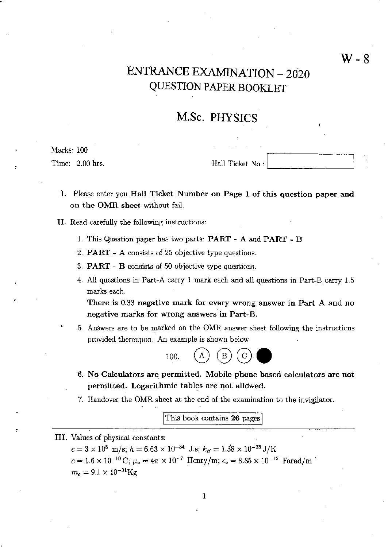# ENTRANCE EXAMINATION - 2020 Q1JESTION PAPER BOOKLET

# M.Sc. PHYSICS

Marks: 100

Time: 2.00 hrs.  $Hall$  Ticket No.:  $\boxed{\qquad \qquad }$ 

- I. Please enter you Hall Ticket Number on Page 1 of this question paper and on the OMR sheet without fail.
- II. Read carefully the following instructions:
	- 1. This Question paper has two parts: PART A and PART B
	- 2. PART ~ A consists of 25 objective type questions.
	- 3. PART B consists of 50 objective type questions.
	- 4. All questions in Part-A carry 1 mark each and all questions in Part-B carry 1.5 marks each.

There is 0.33 negative mark for every wrong answer in Part A and no negative marks for wrong answers in Part-B.

5. Answers are to be marked on the OMR answer sheet following the instructions provided thereupon. An example is shown below



- 6. No Calculators are permitted. Mobile phone based calculators are not permitted. Logarithmic tables are not allowed.
- 7. Handover the OMR sheet at the end of the examination to the invigilator.

This book contains 26 pages

III. Values of physical constants:

 $c = 3 \times 10^8$  m/s;  $h = 6.63 \times 10^{-34}$  J.s;  $k_B = 1.38 \times 10^{-23}$  J/K  $e = 1.6 \times 10^{-19} \,\mathrm{C};\, \mu_\mathrm{o} = 4\pi \times 10^{-7}$  Henry/m;  $\epsilon_\mathrm{o} = 8.85 \times 10^{-12}$  Farad/m  $^\circ$  $m_e = 9.1 \times 10^{-31}$ Kg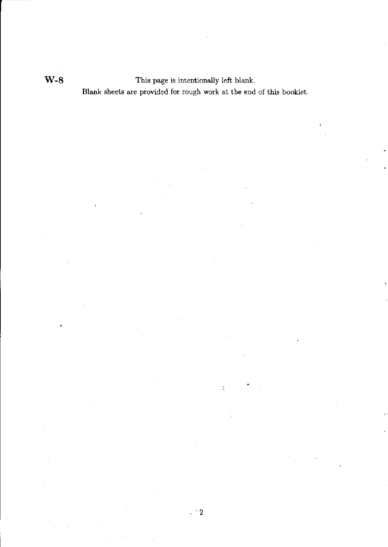W-8 This page is intentionally left blank. Blank sheets are provided for rough work at the end of this booklet.

.  $\cdot$  2

 $\tilde{t}_1$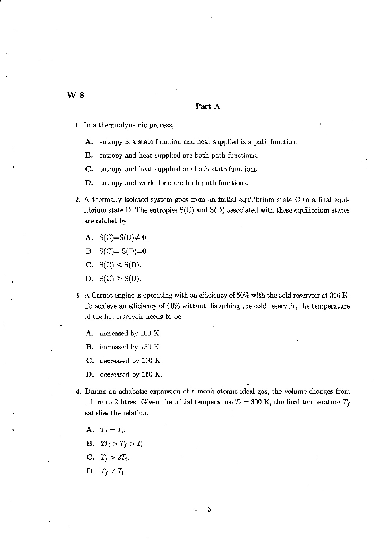,

#### Part A

- 1. In a thermodynamic process,
	- A. entropy is a state function and heat supplied is a path function.
	- B. entropy and heat supplied are both path functions.
	- C. entropy and heat supplied are both state functions.
	- D. entropy and work done are both path functions.
- 2. A thermally isolated system goes from an initial equilibrium state C to a final equilibrium state D. The entropies  $S(C)$  and  $S(D)$  associated with these equilibrium states are related by
	- A.  $S(C)=S(D)\neq 0$ .
	- B.  $S(C) = S(D)=0$ .
	- C.  $S(C) \leq S(D)$ .
	- D.  $S(C) \geq S(D)$ .
- 3. A Carnat engine is operating with an efficiency of 50% with the cold reservoir at 300 K. To achieve an efficiency of 60% without disturbing the cold reservoir, the temperature of the hot reservoir needs to be
	- A. increased by 100 K.
	- B. increased by 150 K.
	- C. decreased by 100 K.
	- **D.** decreased by 150 K.
- 4. During an adiabatic expansion of a mono-atomic ideal gas, the volume changes from 1 litre to 2 litres. Given the initial temperature  $T_i = 300$  K, the final temperature  $T_f$ satisfies the relation,
	- A.  $T_f = T_i$ .
	- **B.**  $2T_i > T_f > T_i$ .
	- $C.$   $T_f > 2T_i$ .
	- D.  $T_f < T_i$ .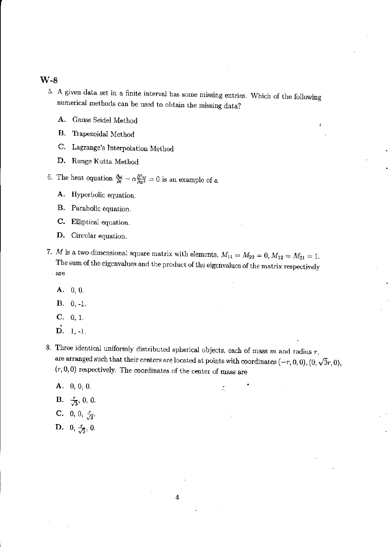- 5. A given data set in a finite interval has some missing entries. Which of the following numerical methods can be used to obtain the missing data?
	- A. Gauss Seidel Method
	- B. Trapezoidal Method
	- C. Lagrange's Interpolation Method
	- D. Runge Kutta Method

6. The heat equation  $\frac{\partial \omega}{\partial t} - \alpha \frac{\partial^2 \omega}{\partial x^2} = 0$  is an example of a

- A. Hyperbolic equation.
- B. Parabolic equation.
- C. Elliptical equation.
- D. Circular equation.
- *7. M* is a two-dimensional square matrix with elements,  $M_{11} = M_{22} = 0, M_{12} = M_{21} = 1$ . The sum of the eigenvalues and the product of the eigenvalues of the matrix respectively . are
	- A. 0, O.
	- $B. \quad 0, -1.$
	- C. 0, 1.
	- $\vec{\mathbf{D}}$ . 1, -1.
- 8. Three identical uniformly distributed spherical objects, each of mass  $m$  and radius  $r$ , are arranged such that their centers are located at points with coordinates  $(-r, 0, 0), (0, \sqrt{3}r, 0),$  $(r, 0, 0)$  respectively. The coordinates of the center of mass are

÷.

- A. 0,0, O.
- **B.**  $\frac{r}{\sqrt{3}}$ , 0, 0.
- C. 0, 0,  $\frac{r}{\sqrt{3}}$ .
- D. 0,  $\frac{r}{\sqrt{3}}$ , 0.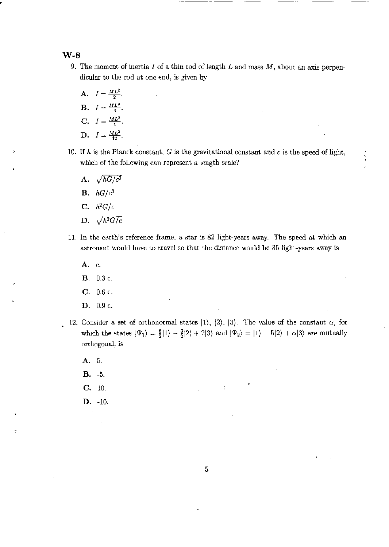### W-B

9. The moment of inertia *I* of a thin rod of length *L* and mass *M,* about an axis perpendicular to the rod at one end, is given by

---~--

- A.  $I = \frac{ML^2}{2}$ . **B.**  $I = \frac{ML^2}{3}$ . C.  $I = \frac{ML^2}{4}$ . D.  $I = \frac{ML^2}{12}$ .
- 10. If h is the Planck constant, G is the gravitational constant and  $c$  is the speed of light, which of the following can represent a length scale?
	- A.  $\sqrt{hG/c^3}$ B.  $hG/c^3$
	- C.  $h^2G/c$
	- D.  $\sqrt{h^2G/c}$
- 11. In the earth's reference frame, a star is 82 light-years away. The speed at which an astronaut would have to travel so that the distance would be 35 light-years away is
	- A. c.
	- B. 0.3 c.
	- C. 0.6 c.
	- D. 0.9 c.
- 12. Consider a set of orthonormal states  $|1\rangle$ ,  $|2\rangle$ ,  $|3\rangle$ . The value of the constant  $\alpha$ , for which the states  $|\Psi_1\rangle = \frac{5}{2}|1\rangle - \frac{3}{2}|2\rangle + 2|3\rangle$  and  $|\Psi_2\rangle = |1\rangle - 5|2\rangle + \alpha|3\rangle$  are mutually orthogonal, is

- A. 5.
- $B. -5.$
- C. 10.
- D. -10.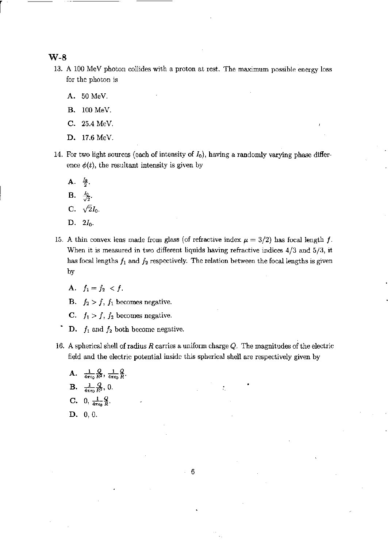r

- 13. A 100 MeV photon collides with a proton at rest. The maximum possible energy loss for the photon is
	- A. 50 MeV.
	- B. 100 MeV.
	- C. 25.4 MeV.
	- D. 17.6 MeV.
- 14. For two light sources (each of intensity of  $I_0$ ), having a randomly varying phase difference  $\phi(t)$ , the resultant intensity is given by
	- $A. \frac{I_0}{2}$ .
	- $\mathbf{B.} \frac{I_0}{\sqrt{2}}.$
	- C.  $\sqrt{2}I_0$ .
	- $D. 2I_0.$
- 15. A thin convex lens made from glass (of refractive index  $\mu = 3/2$ ) has focal length f. When it is measured in two different liquids having refractive indices 4/3 and 5/3, it has focal lengths  $f_1$  and  $f_2$  respectively. The relation between the focal lengths is given by
	- A.  $f_1 = f_2 < f$ .
	- B.  $f_2 > f$ ,  $f_1$  becomes negative.
	- C.  $f_1 > f$ ,  $f_2$  becomes negative.
	- D.  $f_1$  and  $f_2$  both become negative.
- 16. A spherical shell of radius  $R$  carries a uniform charge  $Q$ . The magnitudes of the electric field and the electric potential inside this spherical shell are respectively given by
	- A.  $\frac{1}{4\pi\epsilon_0} \frac{Q}{R^2}, \frac{1}{4\pi\epsilon_0} \frac{Q}{R}.$ **B.**  $\frac{1}{4\pi\epsilon_0}\frac{Q}{R^2}$ , 0. C. 0,  $\frac{1}{4\pi\epsilon_0}\frac{Q}{R}$ .
	- D. 0, o.

6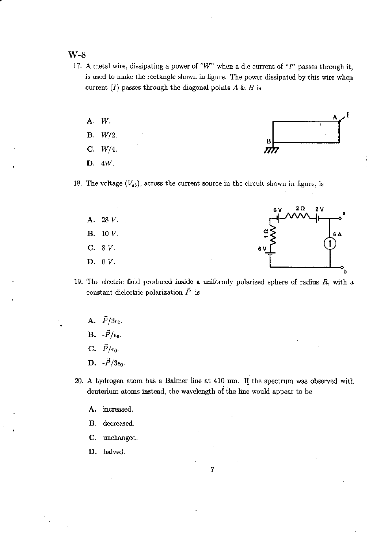- 17. A metal wire, dissipating a power of *"W"* when a d.c current of "I" passes through it, is used to make the rectangle shown in figure. The power dissipated by this wire when current  $(I)$  passes through the diagonal points  $A \& B$  is
	- A. *W.*<br>B. *W/2.*<br>C. *W/4.*<br>D. <sup>AW</sup>. c. *W/4.*  D. *4W.*
- 18. The voltage  $(V_{ab})$ , across the current source in the circuit shown in figure, is



- 19. The electric field produced inside a uniformly polarized sphere of radius  $R$ , with a constant dielectric polarization  $\vec{P}$ , is
	- A.  $\vec{P}/3\epsilon_0$ . B.  $-\vec{P}/\epsilon_0$ . C.  $\vec{P}/\epsilon_0$ .
	- D.  $-\vec{P}/3\epsilon_0$ .
- 20. A hydrogen atom has a Balmer line at 410 nrn. **If** the spectrum was observed with deuterium atoms instead, the wavelength of-the line would appear to be
	- A. increased.
	- B. decreased.
	- c. unchanged.
	- D. halved.

7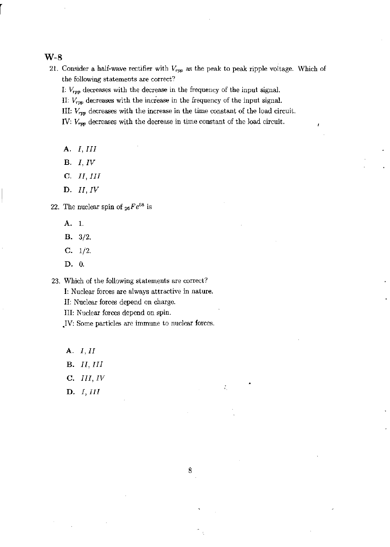21. Consider a half-wave rectifier with  $V_{rpp}$  as the peak to peak ripple voltage. Which of the following statements are correct?

1:  $V_{rpp}$  decreases with the decrease in the frequency of the input signal.

II:  $V_{\text{rpp}}$  decreases with the increase in the frequency of the input signal.

III: *Vrpp* decreases with the increase in the time constant of the load circuit.

IV:  $V_{\text{rep}}$  decreases with the decrease in time constant of the load circuit.

- A. *I, III*
- B. *I, IV*
- C. *II,III*
- D. *II, IV*

22. The nuclear spin of  $_{26}Fe^{58}$  is

- A. 1.
- **B.**  $3/2$ .
- C.  $1/2$ .
- D. O.

23. Which of the following statements are correct?

I: Nuclear forces are always attractive in nature.

II: Nuclear forces depend on charge.

III: Nuclear forces depend on spin.

)V: Some particles are immune to nuclear forces.

- A. *I, II*
- B. *II, III*
- C. *III, IV*
- D. *I, III*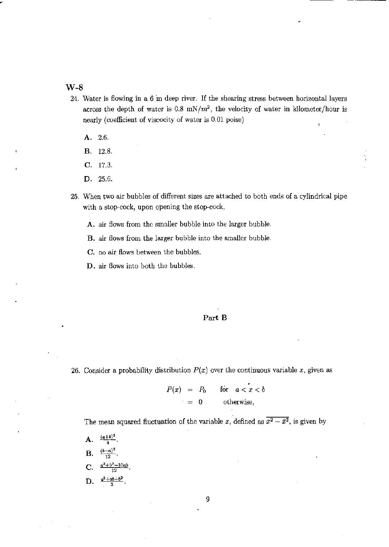- 24. Water is flowing in a 6 m deep river. If the shearing stress between horizontal layers across the depth of water is 0.8 mN/ $m^2$ , the velocity of water in kilometer/hour is nearly (coefficient of viscocity of water is 0.01 poise)
	- A. 2.6.
	- B. 12.8.
	- C. 17.3.
	- D. 25.6.
- 25. When two air bubbles of different sizes are attached to both ends of a cylindrical pipe with a stop~cock) upon opening the stop-cock,
	- A. air flows from the smaller bubble into the larger bubble.
	- B. air flows from the larger bubble into the smaller bubble.
	- C. no air flows between the bubbles.
	- D. air flows into both the bubbles.

#### Part B

26. Consider a probability distribution  $P(x)$  over the continuous variable x, given as

$$
P(x) = P_0 \quad \text{for} \quad a < x < b
$$
\n
$$
= 0 \quad \text{otherwise},
$$

The mean squared fluctuation of the variable *x*, defined as  $\overline{x^2 - \bar{x}^2}$ , is given by

A.  $\frac{(a+b)^2}{4}$ **B.**  $\frac{(b-a)^2}{12}$ C.  $\frac{a^2 + b^2 - 10ab}{12}$ D.  $\frac{a^2+ab+b^2}{3}$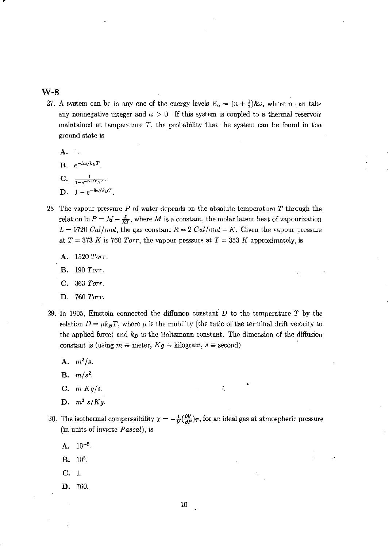~-

- 27. A system can be in any one of the energy levels  $E_n = (n + \frac{1}{2})\hbar\omega$ , where *n* can take any nonnegative integer and  $\omega > 0$ . If this system is coupled to a thermal reservoir maintained at temperature  $T$ , the probability that the system can be found in the ground state is
	- A. 1.
	- $B.$   $e^{-\hbar \omega / k_B T}$ .
	- C.  $\frac{1}{1 e^{-\hbar \omega / k_B T}}$ .
	- D.  $1 e^{-\hbar \omega / k_B T}$
- 28. The vapour pressure *P* of water depends on the absolute temperature *T* through the relation  $\ln P = M - \frac{L}{RT}$ , where *M* is a constant, the molar latent heat of vapourization  $L = 9720$  *Cal/mol,* the gas constant  $R = 2$  *Cal/mol – K.* Given the vapour pressure at  $T = 373 K$  is 760 Torr, the vapour pressure at  $T = 353 K$  approximately, is
	- A. 1520 *Torr.*
	- **B.** 190 *Torr.*
	- C. 363 *Torr.*
	- D. 760 *Torr.*
- 29. In 1905, Einstein connected the diffusion constant  $D$  to the temperature  $T$  by the relation  $D = \mu k_B T$ , where  $\mu$  is the mobility (the ratio of the terminal drift velocity to the applied force) and  $k_B$  is the Boltzmann constant. The dimension of the diffusion constant is (using  $m \equiv$  meter,  $Kg \equiv$  kilogram,  $s \equiv$  second)
	- A. *m2/s.*
	- B. *m/s2.*
	- c. m *Kg/s.*
	- D.  $m^2 s/Kg$ .
- 30. The isothermal compressibility  $\chi = -\frac{1}{V}(\frac{\partial V}{\partial P})_T$ , for an ideal gas at atmospheric pressure (in units of inverse *Pascal),* is

- $A. 10^{-5}.$
- **B.** 10<sup>5</sup>.
- c. 1.
- D. 760.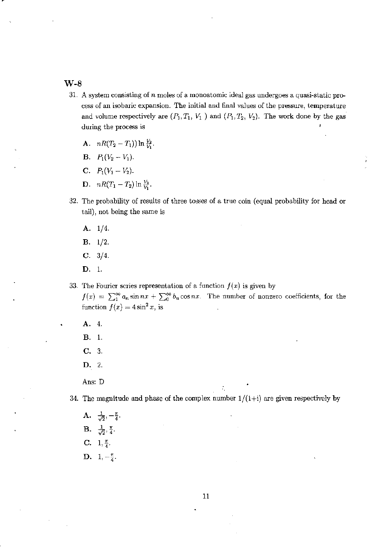- 31. A system consisting of *n* moles of a monoatomic ideal gas undergoes a quasi-static process of an isobaric expansion. The initial and final values of the pressure, temperature and volume respectively are  $(P_1, T_1, V_1)$  and  $(P_1, T_2, V_2)$ . The work done by the gas during the process is
	- A.  $nR(T_2 T_1)$  ln  $\frac{V_2}{V_1}$ .
	- **B.**  $P_1(V_2 V_1)$ .
	- C.  $P_1(V_1 V_2)$ .
	- **D.**  $nR(T_1 T_2) \ln \frac{V_2}{V_1}$ .
- 32. The probability of results of three tosses of a true coin (equal probability for head or tail), not being the same is
	- A. 1/4.
	- B. 1/2.
	- C.  $3/4$ .
	- D. I.
- 33. The Fourier series representation of a function  $f(x)$  is given by

 $f(x) = \sum_{1}^{\infty} a_n \sin nx + \sum_{0}^{\infty} b_n \cos nx$ . The number of nonzero coefficients, for the function  $f(x) = 4\sin^2 x$ , is

- A. 4. B. I.
- 
- C. 3.
- D. 2.
- Ans: D

34. The magnitude and phase of the complex number  $1/(1+i)$  are given respectively by

A.  $\frac{1}{\sqrt{2}}, -\frac{\pi}{4}.$  $B. \frac{1}{\sqrt{2}}, \frac{\pi}{4}.$ C.  $1, \frac{\pi}{4}$ . D.  $1, -\frac{\pi}{4}$ .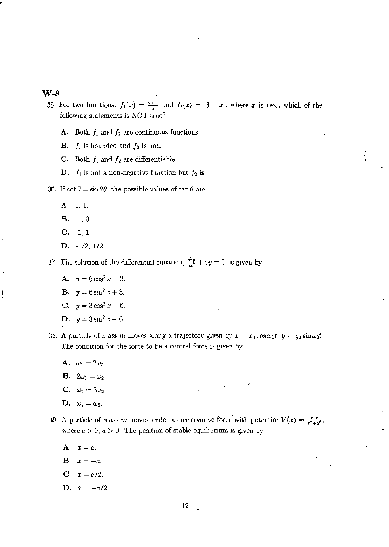- 35. For two functions,  $f_1(x) = \frac{\sin x}{x}$  and  $f_2(x) = |3 x|$ , where x is real, which of the following statements is NOT true?
	- A. Both  $f_1$  and  $f_2$  are continuous functions.
	- **B.**  $f_1$  is bounded and  $f_2$  is not.
	- C. Both  $f_1$  and  $f_2$  are differentiable.
	- D.  $f_1$  is not a non-negative function but  $f_2$  is.
- 36. If  $\cot \theta = \sin 2\theta$ , the possible values of  $\tan \theta$  are
	- A. 0, L
	- $B. -1, 0.$
	- C. -1, 1.
	- D. -1/2, 1/2.

37. The solution of the differential equation,  $\frac{d^2y}{dx^2} + 4y = 0$ , is given by

- A.  $y=6\cos^2 x-3$ .
- **B.**  $y=6\sin^2 x+3$ .
- C.  $y = 3\cos^2 x 6$ .
- D.  $y=3\sin^2 x-6$ .
- 38. A particle of mass m moves along a trajectory given by  $x = x_0 \cos \omega_1 t$ ,  $y = y_0 \sin \omega_2 t$ . The condition for the force to be a central force is given by
	- A.  $\omega_1 = 2\omega_2$ .
	- **B.**  $2\omega_1 = \omega_2$ .
	- C.  $\omega_1 = 3\omega_2$ .
	- D.  $\omega_1 = \omega_2$ .
- 39. A particle of mass *m* moves under a conservative force with potential  $V(x) = \frac{c}{x^2+a^2}$ , where  $c > 0$ ,  $a > 0$ . The position of stable equilibrium is given by

- A.  $x=a$ .
- **B.**  $x = -a$ .
- $C. \t x = a/2.$
- D.  $x = -a/2$ .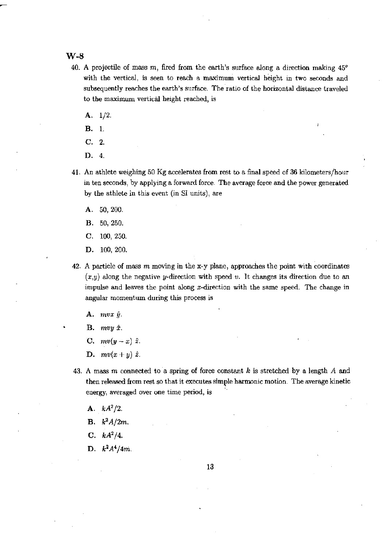#### W-B

- 40. A projectile of mass m, fired from the earth's surface along a direction making *45°*  with the vertical, is seen to reach a maximum vertical height in two seconds and subsequently reaches the earth's surface. The ratio of the horizontal distance traveled to the maximum vertical height reached, is
	- A. 1/2.
	- B. 1.
	- C. 2.
	- D. 4.
- 41. An athlete weighing 50 Kg accelerates from rest to a final speed of 36 kilometers/hour in ten seconds, by applying a forward force. The average force and the power generated by the athlete in this event (in 8I units), are
	- A. 50,200.
	- B. 50,250.
	- C. 100,250.
	- D. 100,200.
- 42. A particle of mass *m* moving in the x-y plane, approaches the point with coordinates *(x,y)* along the negative y-direction with speed *v.* It changes its direction due to an impulse and leaves the point along x-direction with the same speed. The change in angular momentum during this process is
	- $A.$  mvx  $\hat{y}$ .
	- $B.$  mvy  $\hat{x}$ .
	- C.  $mv(y-x) \hat{z}$ .
	- D.  $mv(x+y) \hat{z}$ .
- 43. A mass m connected to a spring of force constant k is stretched by a length A and then released from rest so that it executes simple harmonic motion. The average kinetic energy, averaged oyer one time period, is
	- A.  $kA^2/2$ .
	- **B.**  $k^2A/2m$ .
	- C. *kA'/4.*
	- D.  $k^2 A^4 / 4m$ .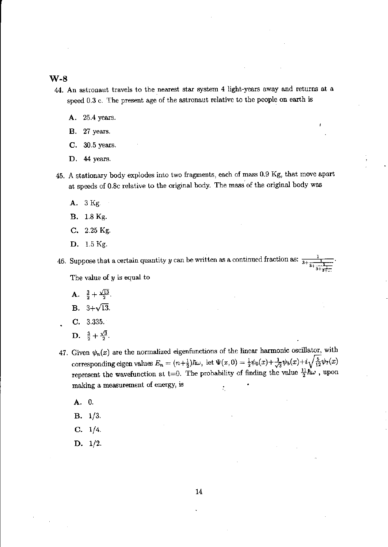- 44. An astronaut travels to the nearest star system 4 light-years away and returns at a speed 0.3 c. The present age of the astronaut relative to the people on earth is
	- A. 25.4 years.
	- B. 27 years.
	- C. 30.5 years.
	- D. 44 years.
- 45. A stationary body explodes into two fragments, each of mass 0.9 Kg, that move apart at speeds of 0.8c relative to the original body. The mass of the original body was
	- A. 3 Kg.
	- B. 1.8 Kg.
	- C. 2.25 Kg.
	- D. 1.5 Kg.

46. Suppose that a certain quantity *y* can be written as a continued fraction as:  $\frac{3+\frac{1}{3}}{3+\frac{1}{3}}$ .<br>The value of *y* is equal to

- **A.**  $\frac{3}{2} + \frac{\sqrt{13}}{2}$ .
- **B.**  $3+\sqrt{13}$ .
- C. 3.335.
- D.  $\frac{3}{2} + \frac{\sqrt{3}}{2}$ .
- 47. Given  $\psi_n(x)$  are the normalized eigenfunctions of the linear harmonic oscillator, with corresponding eigen values  $E_n = (n+\frac{1}{2})\hbar\omega$ , let  $\Psi(x, 0) = \frac{1}{2}\psi_0(x)+\frac{1}{\sqrt{3}}\psi_5(x)+i\sqrt{\frac{5}{12}}\psi_7(x)$ represent the wavefunction at t=0. The probability of finding the value  $\frac{11}{2}\hbar\omega$ , upon making a measurement of energy, is ÷,
	- A. O.
	- B. 1/3.
	- C. 1/4.
	- D. 1/2.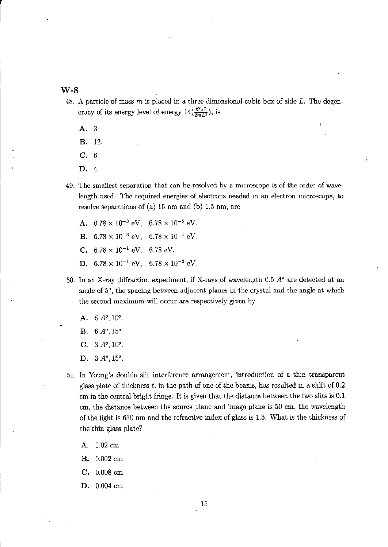- 48. A particle of mass *m* is placed in a three-dimensional cubic box of side L. The degeneracy of its energy level of energy  $14(\frac{\hbar^2\pi^2}{2mL^2})$ , is
	- A. 3.
	- B. 12.
	- C. 6.
	- D. 4.
- 49. The smallest separation that can be resolved by a microscope is of the order of wavelength used. The required energies of electrons needed in an electron microscope, to resolve separations of (a)  $15 \text{ nm}$  and (b)  $1.5 \text{ nm}$ , are
	- A.  $6.78 \times 10^{-3}$  eV,  $6.78 \times 10^{-5}$  eV. **B.**  $6.78 \times 10^{-3}$  eV,  $6.78 \times 10^{-1}$  eV. C.  $6.78 \times 10^{-1}$  eV,  $6.78$  eV. **D.**  $6.78 \times 10^{-1}$  eV,  $6.78 \times 10^{-3}$  eV.
- 50. In an X-ray diffraction experiment, if X-rays of wavelength 0.5 *AO* are detected at an angle of 5°, the spacing between adjacent planes in the crystal and the angle at which the second maximum will occur are respectively given by
	- A.  $6A^o, 10^o$ .
	- B. *6A",15".*
	- C. *3 A", 10",*
	- D. 3  $A^o$ , 15<sup>o</sup>.
- 51. In Young's double slit interference arrangement, introduction of a thin transparent glass plate of thickness  $t$ , in the path of one of the beams, has resulted in a shift of 0.2 em in the central bright fringe. It is given that the distance between the two slits is 0.1 em, the distance between the source plane and image plane is 50 em, the wavelength of the light is 630 nm and the refractive index of glass is 1.5. What is the thickness of the thin glass plate?
	- **A.** 0.02 em
	- B. 0.002 em
	- C. 0.008 em
	- D. 0.004 em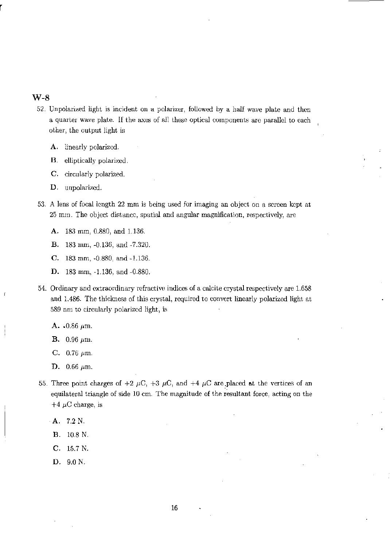- 52. Un polarized light is incident on a polarizer, followed by a half wave plate and then a quarter wave plate. If the axes of all these optical components arc parallel to each other, the output light is
	- **A.** linearly polarized.

**B.** elliptically polarized.

**C.** circularly polarized.

**D.** unpolarizcd.

53. A lens of focal length 22 mm is being used for imaging an object on a screen kept at 25 mm. The object distance, spatial and angular magnification, respectively, are

**A.** 183 mm, 0.880, and 1.136.

- **B.** 183 mm, -0.136, and -7.320.
- C. 183 mm. -0.880, and -1.136.
- D. 183 mm, -1.136, and -0.880.
- 54. Ordinary and extraordinary refractive indices of a calcite crystal respectively are 1.658 and 1.486. The thickness of this crystal, required to convert linearly polarized light at 5S9 nm to circularly polarized light, is
	- A.  $.0.86~\mu{\rm m}$ .
	- **B.** 0.96  $\mu$ m.
	- C.  $0.76 \mu m$ .
	- D.  $0.66 \mu m$ .
- 55. Three point charges of +2  $\mu$ C, +3  $\mu$ C, and +4  $\mu$ C are placed at the vertices of an equilateral triangle of side 10 cm. The magnitude of the resultant force, acting on the  $+4 \mu C$  charge, is
	- A. 7.2 N.
	- B. 10.8 N.
	- $C. 15.7 N.$
	- D. 9.0 N.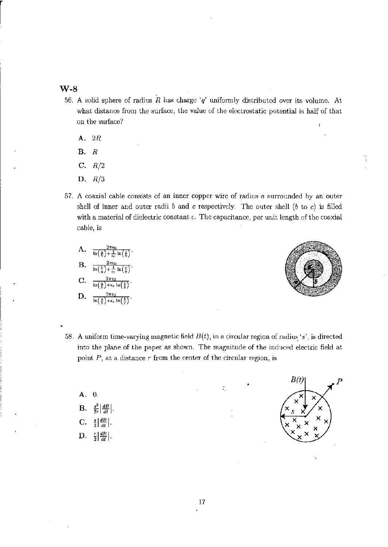- 56. A solid sphere of radius  $R$  has charge 'q' uniformly distributed over its volume. At what distance from the surface, the value of the electrostatic potential is half of that on the surface?
	- A. *2R*
	- B. *R*
	- C. *R/2*
	- D. *R/3*
- 57. A coaxial cable consists of an inner copper wire of radius a surrounded by an outer shell of inner and outer radii  $b$  and  $c$  respectively. The outer shell ( $b$  to  $c$ ) is filled with a material of dielectric constant  $\epsilon$ . The capacitance, per unit length of the coaxial cable, is

A. 
$$
\frac{2\pi\epsilon_0}{\ln\left(\frac{\delta}{b}\right) + \frac{1}{\epsilon_r} \ln\left(\frac{\epsilon}{b}\right)}.
$$
  
\nB. 
$$
\frac{2\pi\epsilon_0}{\ln\left(\frac{b}{a}\right) + \frac{1}{\epsilon_r} \ln\left(\frac{\epsilon}{b}\right)}.
$$
  
\nC. 
$$
\frac{2\pi\epsilon_0}{\ln\left(\frac{\delta}{b}\right) + \epsilon_r \ln\left(\frac{\epsilon}{b}\right)}.
$$
  
\nD. 
$$
\frac{2\pi\epsilon_0}{\ln\left(\frac{b}{b}\right) + \epsilon_r \ln\left(\frac{b}{c}\right)}.
$$



- 58. A uniform time-varying magnetic field  $B(t)$ , in a circular region of radius 's', is directed into the plane of the paper as shown. The magnitude of the induced electric field at point  $P$ , at a distance  $r$  from the center of the circular region, is
	- $\mathbf{B} = \frac{s^2}{2r} \left| \frac{dB}{dt} \right|$ . C.  $\frac{s}{2} \left| \frac{dB}{dt} \right|$ . D.  $\frac{r}{2} \left| \frac{dB}{dt} \right|$ .

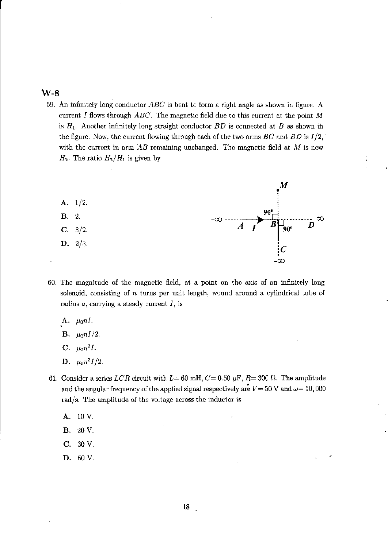59. An infinitely long conductor  $ABC$  is bent to form a right angle as shown in figure. A current *I* flows through *ABC.* The magnetic field due to this current at the point *M*  is  $H_1$ . Another infinitely long straight conductor  $BD$  is connected at B as shown in the figure. Now, the current flowing through each of the two arms  $BC$  and  $BD$  is  $I/2$ , with the current in arm  $AB$  remaining unchanged. The magnetic field at  $M$  is now  $H_2$ . The ratio  $H_2/H_1$  is given by



- 60. The magnitude of the magnetic field, at a point on the axis of an infinitely long solenoid, consisting of *n* turns per unit length, wound around a cylindrical tube of radius *a,* carrying a steady current *I,* is
	- A.  $\mu_0 nI$ .
	- **B.**  $\mu_0 n I/2$ .
	- C.  $\mu_0 n^2 I$ .
	- D.  $\mu_0 n^2 I/2$ .
- 61. Consider a series *LCR* circuit with  $L= 60$  mH,  $C= 0.50 \mu$ F,  $R= 300 \Omega$ . The amplitude and the angular frequency of the applied signal respectively are  $V = 50$  V and  $\omega = 10,000$ rad/s. The amplitude of the voltage across the inductor is
	- A. IOV.
	- B. 20 V.
	- C. 30V.
	- D. 60 V.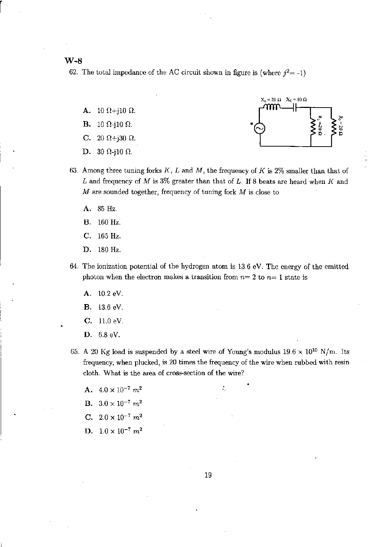W-B

r

62. The total impedance of the AC circuit shown in figure is (where  $j^2 = -1$ )

- A. 10  $\Omega$ +j10  $\Omega$ .
- 
- C. 20  $\Omega$ +j30  $\Omega$ .
- D. 30  $\Omega$ -j10  $\Omega$ .



- 63. Among three tuning forks  $K, L$  and  $M$ , the frequency of  $K$  is 2% smaller than that of L and frequency of M is  $3\%$  greater than that of L. If 8 beats are heard when K and M are sounded together, frequency of tuning fork M is close to
	- A. 85 Hz.
	- B. 160 Hz.
	- C. 165 Hz.
	- D. 180 Hz.
- 64. The ionization potential of the hydrogen atom is 13.6 eV. The energy of the emitted photon when the electron makes a transition from  $n=2$  to  $n=1$  state is
	- A. 10.2 eY.
	- B. 13.6 eV
	- C. 11.0 eY.
	- D. 6.8 eY.
- 65. A 20 Kg load is suspended by a steel wire of Young's modulus  $19.6 \times 10^{10}$  N/m. Its frequency, when plucked, is 20 times the frequency of the wire when rubbed with resin cloth. What is the area of cross-section of the wire?
	- A.  $4.0 \times 10^{-7}$   $m^2$
	- **B.**  $3.0 \times 10^{-7}$   $m^2$
	- C.  $2.0 \times 10^{-7}$   $m^2$
	- D.  $1.0 \times 10^{-7}$   $m^2$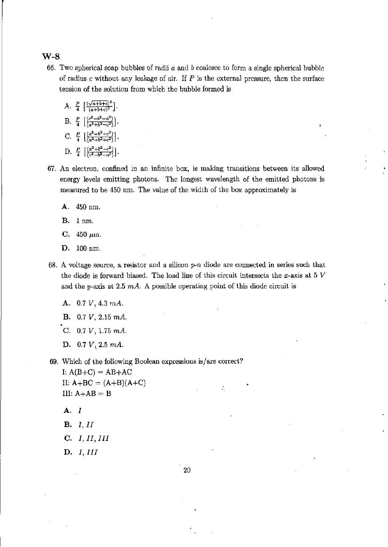66. Two spherical soap bubbles of radii *a* and *b* coalesce to form a single spherical bubble of radius c without any leakage of air. If *P* is the external pressure, then the surface tension of the solution from which the bubble formed is

A. 
$$
\frac{P}{4} \left[ \frac{(\sqrt{a+b+c})^3}{(a+b+c)^2} \right]
$$
.  
\nB.  $\frac{P}{4} \left[ \frac{(c^3-b^3-a^3)}{(a^2+b^2-c^2)} \right]$ .  
\nC.  $\frac{P}{4} \left[ \frac{(a^3+b^3+c^3)}{(a^2+b^2+c^2)} \right]$ .  
\nD.  $\frac{P}{4} \left[ \frac{(a^2+b^2-c^2)}{(c^3-b^3-a^3)} \right]$ .

- 67. An electron, confined in an infinite box, is making transitions between its allowed energy levels emitting photons. The longest wavelength of the emitted photons is measured to be 450 nm. The value of the width of the box approximately is
	- A. 450 nm.
	- B. lnm.
	- C.  $450 \mu m$ .
	- D. 100 nm.
- 68. A voltage source, a resistor and a silicon  $p\neg n$  diode are connected in series such that the diode is forward biased. The load line of this circuit intersects the x-axis at 5  $V$ and the y-axis at 2.5  $mA$ . A possible operating point of this diode circuit is
	- A. *0.7 V,* 4.3 *rnA.*
	- B. *0.7 V,* 2.15 *rnA.*
	- C. *0.7 V,* 1.75 *rnA.*
	- D.  $0.7 V$ , 2.5  $mA$ .
- 69. Which of the following Boolean expressions is/are correct?

I:  $A(B+C) = AB+AC$ II:  $A + BC = (A + B)(A + C)$ III:  $A+AB = B$ 

- A. I
- **B.** *I*, *II*
- C. I, II, III
- D. I, III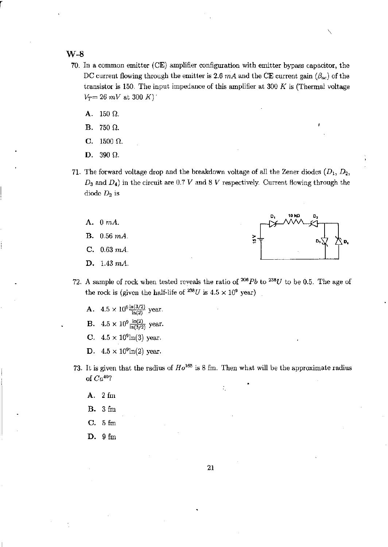r

- 70. In a common emitter (CE) amplifier configuration with emitter bypass capacitor, the DC current flowing through the emitter is 2.6  $mA$  and the CE current gain  $(\beta_{ac})$  of the transistor is 150. The input impedance of this amplifier at 300 *K* is (Thermal voltage  $V_T = 26$  *mV* at 300 *K*)<sup> $\cdot$ </sup>
	- A.  $150 \Omega$ .
	- B. 750  $\Omega$ .
	- C.  $1500 \Omega$ .
	- D. 390  $\Omega$ .
- 71. The forward voltage drop and the breakdown voltage of all the Zener diodes *(D1, D2•*   $D_3$  and  $D_4$ ) in the circuit are 0.7 V and 8 V respectively. Current flowing through the diode  $D_2$  is
	- A. 0  $mA$ .
	-
	- C. *0.63 rnA.*
	- D. *1.43 rnA.*



- 72. A sample of rock when tested reveals the ratio of 206 *Pb* to *238U* to be 0.5. The age of the rock is (given the half-life of  $^{238}U$  is  $4.5 \times 10^9$  year)
	- A.  $4.5 \times 10^{9} \frac{\ln(3/2)}{\ln(2)}$  year.
	- **B.**  $4.5 \times 10^9 \frac{\ln(2)}{\ln(3/2)}$  year.
	- C.  $4.5 \times 10^9 \text{ln}(3)$  year.
	- **D.**  $4.5 \times 10^9 \ln(2)$  year.
- 73. It is given that the radius of  $Ho^{165}$  is 8 fm. Then what will be the approximate radius of *Ca40?* 
	- A. 2 fm
	- B. 3fm
	- C. 5fm
	- D. 9fm